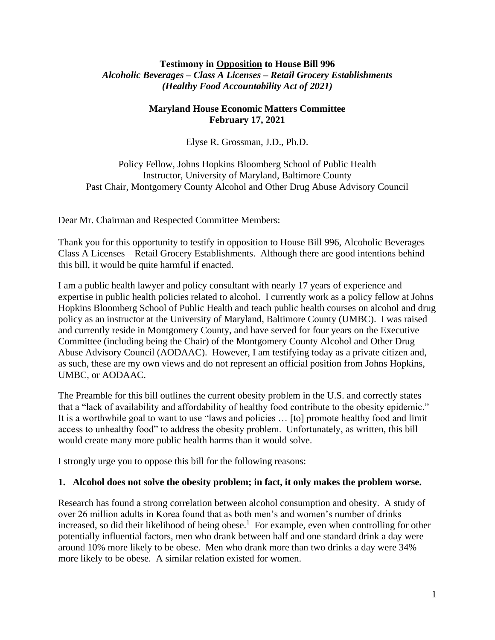## **Testimony in Opposition to House Bill 996** *Alcoholic Beverages – Class A Licenses – Retail Grocery Establishments (Healthy Food Accountability Act of 2021)*

# **Maryland House Economic Matters Committee February 17, 2021**

Elyse R. Grossman, J.D., Ph.D.

Policy Fellow, Johns Hopkins Bloomberg School of Public Health Instructor, University of Maryland, Baltimore County Past Chair, Montgomery County Alcohol and Other Drug Abuse Advisory Council

Dear Mr. Chairman and Respected Committee Members:

Thank you for this opportunity to testify in opposition to House Bill 996, Alcoholic Beverages – Class A Licenses – Retail Grocery Establishments. Although there are good intentions behind this bill, it would be quite harmful if enacted.

I am a public health lawyer and policy consultant with nearly 17 years of experience and expertise in public health policies related to alcohol. I currently work as a policy fellow at Johns Hopkins Bloomberg School of Public Health and teach public health courses on alcohol and drug policy as an instructor at the University of Maryland, Baltimore County (UMBC). I was raised and currently reside in Montgomery County, and have served for four years on the Executive Committee (including being the Chair) of the Montgomery County Alcohol and Other Drug Abuse Advisory Council (AODAAC). However, I am testifying today as a private citizen and, as such, these are my own views and do not represent an official position from Johns Hopkins, UMBC, or AODAAC.

The Preamble for this bill outlines the current obesity problem in the U.S. and correctly states that a "lack of availability and affordability of healthy food contribute to the obesity epidemic." It is a worthwhile goal to want to use "laws and policies … [to] promote healthy food and limit access to unhealthy food" to address the obesity problem. Unfortunately, as written, this bill would create many more public health harms than it would solve.

I strongly urge you to oppose this bill for the following reasons:

## **1. Alcohol does not solve the obesity problem; in fact, it only makes the problem worse.**

Research has found a strong correlation between alcohol consumption and obesity. A study of over 26 million adults in Korea found that as both men's and women's number of drinks increased, so did their likelihood of being obese. 1 For example, even when controlling for other potentially influential factors, men who drank between half and one standard drink a day were around 10% more likely to be obese. Men who drank more than two drinks a day were 34% more likely to be obese. A similar relation existed for women.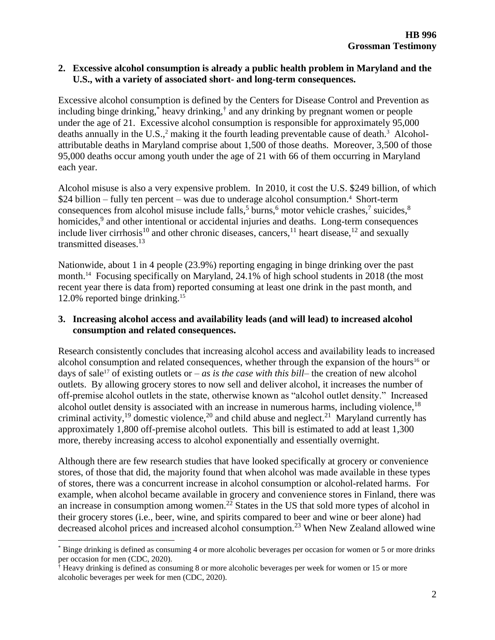### **2. Excessive alcohol consumption is already a public health problem in Maryland and the U.S., with a variety of associated short- and long-term consequences.**

Excessive alcohol consumption is defined by the Centers for Disease Control and Prevention as including binge drinking,\* heavy drinking,† and any drinking by pregnant women or people under the age of 21. Excessive alcohol consumption is responsible for approximately 95,000 deaths annually in the U.S.,<sup>2</sup> making it the fourth leading preventable cause of death.<sup>3</sup> Alcoholattributable deaths in Maryland comprise about 1,500 of those deaths. Moreover, 3,500 of those 95,000 deaths occur among youth under the age of 21 with 66 of them occurring in Maryland each year.

Alcohol misuse is also a very expensive problem. In 2010, it cost the U.S. \$249 billion, of which  $$24$  billion – fully ten percent – was due to underage alcohol consumption.<sup>4</sup> Short-term consequences from alcohol misuse include falls,<sup>5</sup> burns,<sup>6</sup> motor vehicle crashes,<sup>7</sup> suicides,<sup>8</sup> homicides,<sup>9</sup> and other intentional or accidental injuries and deaths. Long-term consequences include liver cirrhosis<sup>10</sup> and other chronic diseases, cancers,  $^{11}$  heart disease,  $^{12}$  and sexually transmitted diseases. 13

Nationwide, about 1 in 4 people (23.9%) reporting engaging in binge drinking over the past month.<sup>14</sup> Focusing specifically on Maryland, 24.1% of high school students in 2018 (the most recent year there is data from) reported consuming at least one drink in the past month, and 12.0% reported binge drinking.<sup>15</sup>

### **3. Increasing alcohol access and availability leads (and will lead) to increased alcohol consumption and related consequences.**

Research consistently concludes that increasing alcohol access and availability leads to increased alcohol consumption and related consequences, whether through the expansion of the hours<sup>16</sup> or days of sale<sup>17</sup> of existing outlets or – *as is the case with this bill*– the creation of new alcohol outlets. By allowing grocery stores to now sell and deliver alcohol, it increases the number of off-premise alcohol outlets in the state, otherwise known as "alcohol outlet density." Increased alcohol outlet density is associated with an increase in numerous harms, including violence,  $18$ criminal activity,<sup>19</sup> domestic violence,<sup>20</sup> and child abuse and neglect.<sup>21</sup> Maryland currently has approximately 1,800 off-premise alcohol outlets. This bill is estimated to add at least 1,300 more, thereby increasing access to alcohol exponentially and essentially overnight.

Although there are few research studies that have looked specifically at grocery or convenience stores, of those that did, the majority found that when alcohol was made available in these types of stores, there was a concurrent increase in alcohol consumption or alcohol-related harms. For example, when alcohol became available in grocery and convenience stores in Finland, there was an increase in consumption among women.<sup>22</sup> States in the US that sold more types of alcohol in their grocery stores (i.e., beer, wine, and spirits compared to beer and wine or beer alone) had decreased alcohol prices and increased alcohol consumption.<sup>23</sup> When New Zealand allowed wine

<sup>\*</sup> Binge drinking is defined as consuming 4 or more alcoholic beverages per occasion for women or 5 or more drinks per occasion for men (CDC, 2020).

<sup>†</sup> Heavy drinking is defined as consuming 8 or more alcoholic beverages per week for women or 15 or more alcoholic beverages per week for men (CDC, 2020).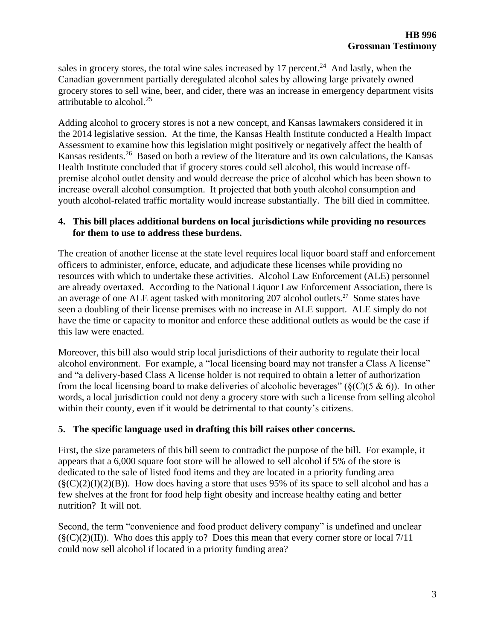sales in grocery stores, the total wine sales increased by  $17$  percent.<sup>24</sup> And lastly, when the Canadian government partially deregulated alcohol sales by allowing large privately owned grocery stores to sell wine, beer, and cider, there was an increase in emergency department visits attributable to alcohol. $25$ 

Adding alcohol to grocery stores is not a new concept, and Kansas lawmakers considered it in the 2014 legislative session. At the time, the Kansas Health Institute conducted a Health Impact Assessment to examine how this legislation might positively or negatively affect the health of Kansas residents.<sup>26</sup> Based on both a review of the literature and its own calculations, the Kansas Health Institute concluded that if grocery stores could sell alcohol, this would increase offpremise alcohol outlet density and would decrease the price of alcohol which has been shown to increase overall alcohol consumption. It projected that both youth alcohol consumption and youth alcohol-related traffic mortality would increase substantially. The bill died in committee.

### **4. This bill places additional burdens on local jurisdictions while providing no resources for them to use to address these burdens.**

The creation of another license at the state level requires local liquor board staff and enforcement officers to administer, enforce, educate, and adjudicate these licenses while providing no resources with which to undertake these activities. Alcohol Law Enforcement (ALE) personnel are already overtaxed. According to the National Liquor Law Enforcement Association, there is an average of one ALE agent tasked with monitoring 207 alcohol outlets.<sup>27</sup> Some states have seen a doubling of their license premises with no increase in ALE support. ALE simply do not have the time or capacity to monitor and enforce these additional outlets as would be the case if this law were enacted.

Moreover, this bill also would strip local jurisdictions of their authority to regulate their local alcohol environment. For example, a "local licensing board may not transfer a Class A license" and "a delivery-based Class A license holder is not required to obtain a letter of authorization from the local licensing board to make deliveries of alcoholic beverages" ( $\S(C)(5 \& 6)$ ). In other words, a local jurisdiction could not deny a grocery store with such a license from selling alcohol within their county, even if it would be detrimental to that county's citizens.

## **5. The specific language used in drafting this bill raises other concerns.**

First, the size parameters of this bill seem to contradict the purpose of the bill. For example, it appears that a 6,000 square foot store will be allowed to sell alcohol if 5% of the store is dedicated to the sale of listed food items and they are located in a priority funding area  $(\S(C)(2)(I)(2)(B))$ . How does having a store that uses 95% of its space to sell alcohol and has a few shelves at the front for food help fight obesity and increase healthy eating and better nutrition? It will not.

Second, the term "convenience and food product delivery company" is undefined and unclear  $(\S(C)(2)(II))$ . Who does this apply to? Does this mean that every corner store or local 7/11 could now sell alcohol if located in a priority funding area?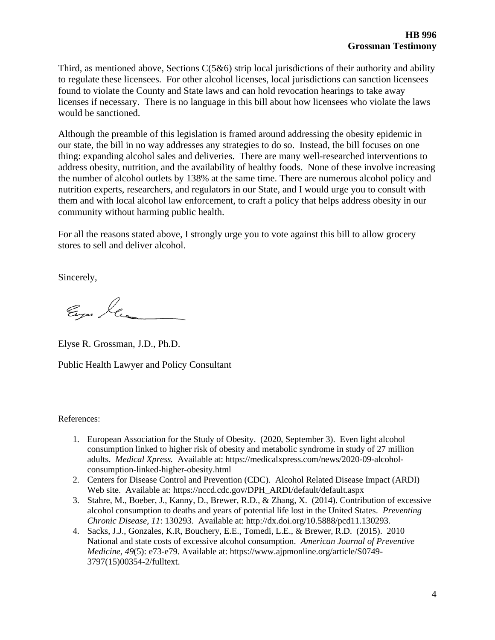Third, as mentioned above, Sections  $C(5&6)$  strip local jurisdictions of their authority and ability to regulate these licensees. For other alcohol licenses, local jurisdictions can sanction licensees found to violate the County and State laws and can hold revocation hearings to take away licenses if necessary. There is no language in this bill about how licensees who violate the laws would be sanctioned.

Although the preamble of this legislation is framed around addressing the obesity epidemic in our state, the bill in no way addresses any strategies to do so. Instead, the bill focuses on one thing: expanding alcohol sales and deliveries. There are many well-researched interventions to address obesity, nutrition, and the availability of healthy foods. None of these involve increasing the number of alcohol outlets by 138% at the same time. There are numerous alcohol policy and nutrition experts, researchers, and regulators in our State, and I would urge you to consult with them and with local alcohol law enforcement, to craft a policy that helps address obesity in our community without harming public health.

For all the reasons stated above, I strongly urge you to vote against this bill to allow grocery stores to sell and deliver alcohol.

Sincerely,

Eugen las

Elyse R. Grossman, J.D., Ph.D.

Public Health Lawyer and Policy Consultant

References:

- 1. European Association for the Study of Obesity. (2020, September 3). Even light alcohol consumption linked to higher risk of obesity and metabolic syndrome in study of 27 million adults. *Medical Xpress.* Available at: https://medicalxpress.com/news/2020-09-alcoholconsumption-linked-higher-obesity.html
- 2. Centers for Disease Control and Prevention (CDC). Alcohol Related Disease Impact (ARDI) Web site. Available at: https://nccd.cdc.gov/DPH\_ARDI/default/default.aspx
- 3. Stahre, M., Boeber, J., Kanny, D., Brewer, R.D., & Zhang, X. (2014). Contribution of excessive alcohol consumption to deaths and years of potential life lost in the United States. *Preventing Chronic Disease, 11*: 130293. Available at: http://dx.doi.org/10.5888/pcd11.130293.
- 4. Sacks, J.J., Gonzales, K.R, Bouchery, E.E., Tomedi, L.E., & Brewer, R.D. (2015). 2010 National and state costs of excessive alcohol consumption. *American Journal of Preventive Medicine, 49*(5): e73-e79. Available at: https://www.ajpmonline.org/article/S0749- 3797(15)00354-2/fulltext.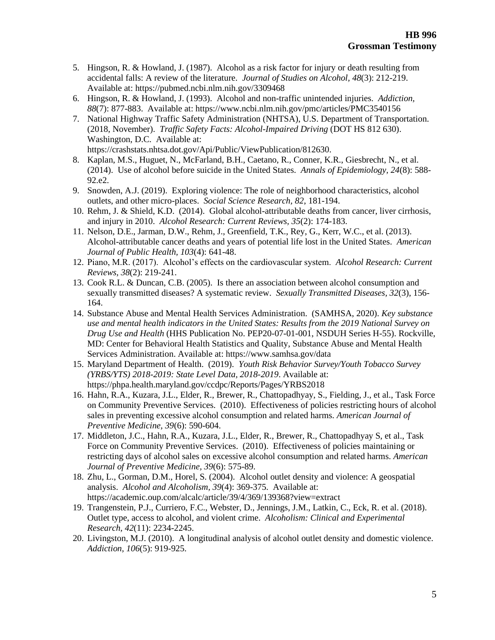- 5. Hingson, R. & Howland, J. (1987). Alcohol as a risk factor for injury or death resulting from accidental falls: A review of the literature. *Journal of Studies on Alcohol, 48*(3): 212-219. Available at: https://pubmed.ncbi.nlm.nih.gov/3309468
- 6. Hingson, R. & Howland, J. (1993). Alcohol and non-traffic unintended injuries. *Addiction, 88*(7): 877-883. Available at: https://www.ncbi.nlm.nih.gov/pmc/articles/PMC3540156
- 7. National Highway Traffic Safety Administration (NHTSA), U.S. Department of Transportation. (2018, November). *Traffic Safety Facts: Alcohol-Impaired Driving* (DOT HS 812 630). Washington, D.C. Available at: https://crashstats.nhtsa.dot.gov/Api/Public/ViewPublication/812630.
- 8. Kaplan, M.S., Huguet, N., McFarland, B.H., Caetano, R., Conner, K.R., Giesbrecht, N., et al. (2014). Use of alcohol before suicide in the United States. *Annals of Epidemiology, 24*(8): 588- 92.e2.
- 9. Snowden, A.J. (2019). Exploring violence: The role of neighborhood characteristics, alcohol outlets, and other micro-places. *Social Science Research, 82*, 181-194.
- 10. Rehm, J. & Shield, K.D. (2014). Global alcohol-attributable deaths from cancer, liver cirrhosis, and injury in 2010. *Alcohol Research: Current Reviews, 35*(2): 174-183.
- 11. Nelson, D.E., Jarman, D.W., Rehm, J., Greenfield, T.K., Rey, G., Kerr, W.C., et al. (2013). Alcohol-attributable cancer deaths and years of potential life lost in the United States. *American Journal of Public Health, 103*(4): 641-48.
- 12. Piano, M.R. (2017). Alcohol's effects on the cardiovascular system. *Alcohol Research: Current Reviews, 38*(2): 219-241.
- 13. Cook R.L. & Duncan, C.B. (2005). Is there an association between alcohol consumption and sexually transmitted diseases? A systematic review. *Sexually Transmitted Diseases, 32*(3), 156- 164.
- 14. Substance Abuse and Mental Health Services Administration. (SAMHSA, 2020). *Key substance use and mental health indicators in the United States: Results from the 2019 National Survey on Drug Use and Health* (HHS Publication No. PEP20-07-01-001, NSDUH Series H-55). Rockville, MD: Center for Behavioral Health Statistics and Quality, Substance Abuse and Mental Health Services Administration. Available at: https://www.samhsa.gov/data
- 15. Maryland Department of Health. (2019). *Youth Risk Behavior Survey/Youth Tobacco Survey (YRBS/YTS) 2018-2019: State Level Data, 2018-2019*. Available at: https://phpa.health.maryland.gov/ccdpc/Reports/Pages/YRBS2018
- 16. Hahn, R.A., Kuzara, J.L., Elder, R., Brewer, R., Chattopadhyay, S., Fielding, J., et al., Task Force on Community Preventive Services. (2010). Effectiveness of policies restricting hours of alcohol sales in preventing excessive alcohol consumption and related harms. *American Journal of Preventive Medicine, 39*(6): 590-604.
- 17. Middleton, J.C., Hahn, R.A., Kuzara, J.L., Elder, R., Brewer, R., Chattopadhyay S, et al., Task Force on Community Preventive Services. (2010). Effectiveness of policies maintaining or restricting days of alcohol sales on excessive alcohol consumption and related harms. *American Journal of Preventive Medicine, 39*(6): 575-89.
- 18. Zhu, L., Gorman, D.M., Horel, S. (2004). Alcohol outlet density and violence: A geospatial analysis. *Alcohol and Alcoholism, 39*(4): 369-375. Available at: https://academic.oup.com/alcalc/article/39/4/369/139368?view=extract
- 19. Trangenstein, P.J., Curriero, F.C., Webster, D., Jennings, J.M., Latkin, C., Eck, R. et al. (2018). Outlet type, access to alcohol, and violent crime. *Alcoholism: Clinical and Experimental Research, 42*(11): 2234-2245.
- 20. Livingston, M.J. (2010). A longitudinal analysis of alcohol outlet density and domestic violence. *Addiction, 106*(5): 919-925.